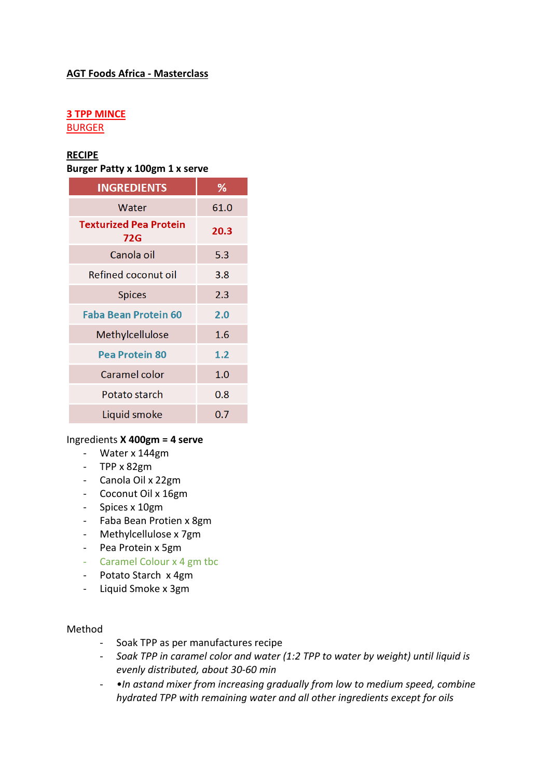## **AGT Foods Africa - Masterclass**

# **3 TPP MINCE**

BURGER

## **RECIPE**

**Burger Patty x 100gm 1 x serve**

| <b>INGREDIENTS</b>                   | ℅    |
|--------------------------------------|------|
| Water                                | 61.0 |
| <b>Texturized Pea Protein</b><br>72G | 20.3 |
| Canola oil                           | 5.3  |
| Refined coconut oil                  | 3.8  |
| <b>Spices</b>                        | 2.3  |
| Faba Bean Protein 60                 | 2.0  |
| Methylcellulose                      | 1.6  |
| <b>Pea Protein 80</b>                | 1.2  |
| Caramel color                        | 1.0  |
| Potato starch                        | 0.8  |
| Liquid smoke                         | 0.7  |

### Ingredients **X 400gm = 4 serve**

- Water x 144gm
- TPP x 82gm
- Canola Oil x 22gm
- Coconut Oil x 16gm
- Spices x 10gm
- Faba Bean Protien x 8gm
- Methylcellulose x 7gm
- Pea Protein x 5gm
- Caramel Colour x 4 gm tbc
- Potato Starch x 4gm
- Liquid Smoke x 3gm

### Method

- Soak TPP as per manufactures recipe
- *Soak TPP in caramel color and water (1:2 TPP to water by weight) until liquid is evenly distributed, about 30-60 min*
- *•In astand mixer from increasing gradually from low to medium speed, combine hydrated TPP with remaining water and all other ingredients except for oils*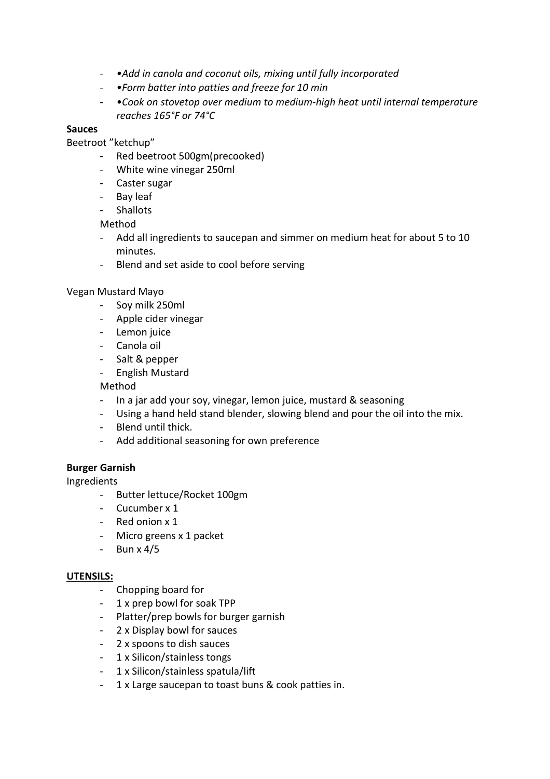- *•Add in canola and coconut oils, mixing until fully incorporated*
- *•Form batter into patties and freeze for 10 min*
- *•Cook on stovetop over medium to medium-high heat until internal temperature reaches 165°F or 74°C*

## **Sauces**

Beetroot "ketchup"

- Red beetroot 500gm(precooked)
- White wine vinegar 250ml
- Caster sugar
- Bay leaf
- Shallots

Method

- Add all ingredients to saucepan and simmer on medium heat for about 5 to 10 minutes.
- Blend and set aside to cool before serving

## Vegan Mustard Mayo

- Soy milk 250ml
- Apple cider vinegar
- Lemon juice
- Canola oil
- Salt & pepper
- English Mustard

Method

- In a jar add your soy, vinegar, lemon juice, mustard & seasoning
- Using a hand held stand blender, slowing blend and pour the oil into the mix.
- Blend until thick.
- Add additional seasoning for own preference

### **Burger Garnish**

Ingredients

- Butter lettuce/Rocket 100gm
- Cucumber x 1
- Red onion x 1
- Micro greens x 1 packet
- Bun x 4/5

### **UTENSILS:**

- Chopping board for
- 1 x prep bowl for soak TPP
- Platter/prep bowls for burger garnish
- 2 x Display bowl for sauces
- 2 x spoons to dish sauces
- 1 x Silicon/stainless tongs
- 1 x Silicon/stainless spatula/lift
- 1 x Large saucepan to toast buns & cook patties in.